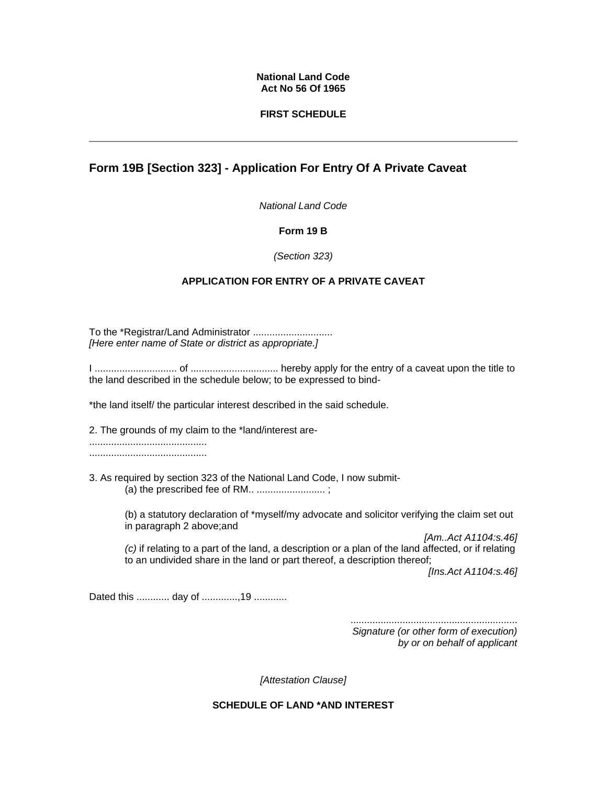#### **National Land Code Act No 56 Of 1965**

#### **FIRST SCHEDULE**

## **Form 19B [Section 323] - Application For Entry Of A Private Caveat**

*National Land Code* 

#### **Form 19 B**

#### *(Section 323)*

### **APPLICATION FOR ENTRY OF A PRIVATE CAVEAT**

To the \*Registrar/Land Administrator .............................. *[Here enter name of State or district as appropriate.]*

I .............................. of ................................ hereby apply for the entry of a caveat upon the title to the land described in the schedule below; to be expressed to bind-

\*the land itself/ the particular interest described in the said schedule.

2. The grounds of my claim to the \*land/interest are-

........................................... ...........................................

3. As required by section 323 of the National Land Code, I now submit- (a) the prescribed fee of RM.. ......................... ;

> (b) a statutory declaration of \*myself/my advocate and solicitor verifying the claim set out in paragraph 2 above;and

*[Am..Act A1104:s.46] (c)* if relating to a part of the land, a description or a plan of the land affected, or if relating to an undivided share in the land or part thereof, a description thereof;

*[Ins.Act A1104:s.46]*

Dated this ............ day of ...............19 .............

............................................................. *Signature (or other form of execution) by or on behalf of applicant* 

*[Attestation Clause]*

**SCHEDULE OF LAND \*AND INTEREST**